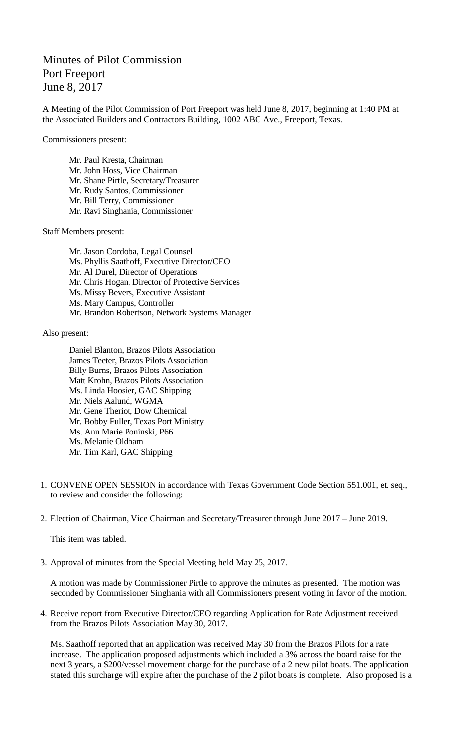## Minutes of Pilot Commission Port Freeport June 8, 2017

A Meeting of the Pilot Commission of Port Freeport was held June 8, 2017, beginning at 1:40 PM at the Associated Builders and Contractors Building, 1002 ABC Ave., Freeport, Texas.

Commissioners present:

Mr. Paul Kresta, Chairman Mr. John Hoss, Vice Chairman Mr. Shane Pirtle, Secretary/Treasurer Mr. Rudy Santos, Commissioner Mr. Bill Terry, Commissioner Mr. Ravi Singhania, Commissioner

Staff Members present:

Mr. Jason Cordoba, Legal Counsel Ms. Phyllis Saathoff, Executive Director/CEO Mr. Al Durel, Director of Operations Mr. Chris Hogan, Director of Protective Services Ms. Missy Bevers, Executive Assistant Ms. Mary Campus, Controller Mr. Brandon Robertson, Network Systems Manager

Also present:

Daniel Blanton, Brazos Pilots Association James Teeter, Brazos Pilots Association Billy Burns, Brazos Pilots Association Matt Krohn, Brazos Pilots Association Ms. Linda Hoosier, GAC Shipping Mr. Niels Aalund, WGMA Mr. Gene Theriot, Dow Chemical Mr. Bobby Fuller, Texas Port Ministry Ms. Ann Marie Poninski, P66 Ms. Melanie Oldham Mr. Tim Karl, GAC Shipping

- 1. CONVENE OPEN SESSION in accordance with Texas Government Code Section 551.001, et. seq., to review and consider the following:
- 2. Election of Chairman, Vice Chairman and Secretary/Treasurer through June 2017 June 2019.

This item was tabled.

3. Approval of minutes from the Special Meeting held May 25, 2017.

A motion was made by Commissioner Pirtle to approve the minutes as presented. The motion was seconded by Commissioner Singhania with all Commissioners present voting in favor of the motion.

4. Receive report from Executive Director/CEO regarding Application for Rate Adjustment received from the Brazos Pilots Association May 30, 2017.

Ms. Saathoff reported that an application was received May 30 from the Brazos Pilots for a rate increase. The application proposed adjustments which included a 3% across the board raise for the next 3 years, a \$200/vessel movement charge for the purchase of a 2 new pilot boats. The application stated this surcharge will expire after the purchase of the 2 pilot boats is complete. Also proposed is a